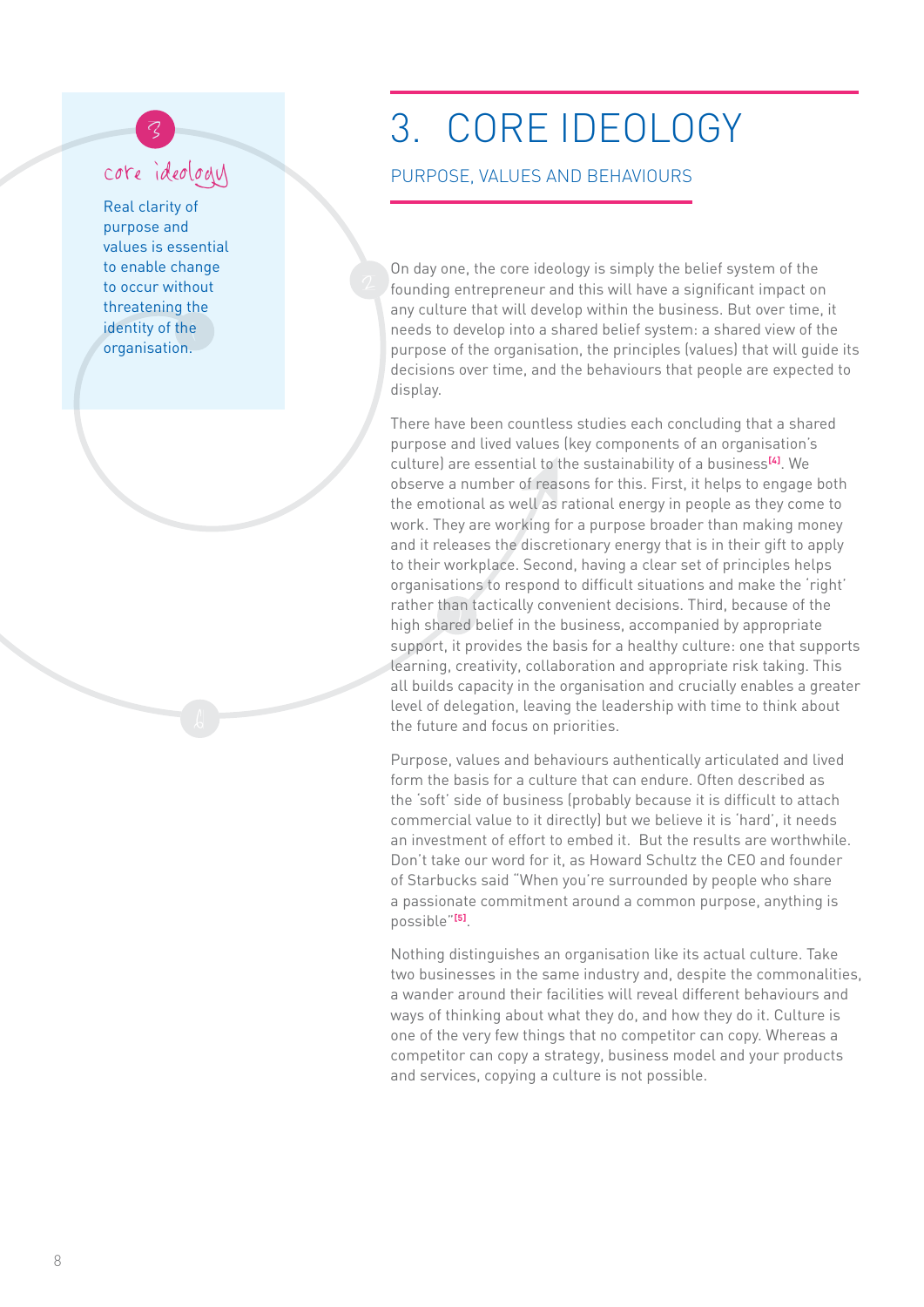## core ideology

identity of the<br>erganication Real clarity of purpose and values is essential to enable change to occur without threatening the organisation.

## <sup>3</sup> 3. CORE IDEOLOGY

## PURPOSE, VALUES AND BEHAVIOURS

On day one, the core ideology is simply the belief system of the founding entrepreneur and this will have a significant impact on any culture that will develop within the business. But over time, it needs to develop into a shared belief system: a shared view of the purpose of the organisation, the principles (values) that will guide its decisions over time, and the behaviours that people are expected to display.

rather than tacticatly convenient decisions. Third, because of the<br>high shared belief in the business, accompanied by appropriate There have been countless studies each concluding that a shared purpose and lived values (key components of an organisation's culture) are essential to the sustainability of a business<sup>[4]</sup>. We observe a number of reasons for this. First, it helps to engage both the emotional as well as rational energy in people as they come to work. They are working for a purpose broader than making money and it releases the discretionary energy that is in their gift to apply to their workplace. Second, having a clear set of principles helps organisations to respond to difficult situations and make the 'right' rather than tactically convenient decisions. Third, because of the support, it provides the basis for a healthy culture: one that supports learning, creativity, collaboration and appropriate risk taking. This all builds capacity in the organisation and crucially enables a greater level of delegation, leaving the leadership with time to think about the future and focus on priorities.

Purpose, values and behaviours authentically articulated and lived form the basis for a culture that can endure. Often described as the 'soft' side of business (probably because it is difficult to attach commercial value to it directly) but we believe it is 'hard', it needs an investment of effort to embed it. But the results are worthwhile. Don't take our word for it, as Howard Schultz the CEO and founder of Starbucks said "When you're surrounded by people who share a passionate commitment around a common purpose, anything is possible" **[5 ]**.

Nothing distinguishes an organisation like its actual culture. Take two businesses in the same industry and, despite the commonalities, a wander around their facilities will reveal different behaviours and ways of thinking about what they do, and how they do it. Culture is one of the very few things that no competitor can copy. Whereas a competitor can copy a strategy, business model and your products and services, copying a culture is not possible.